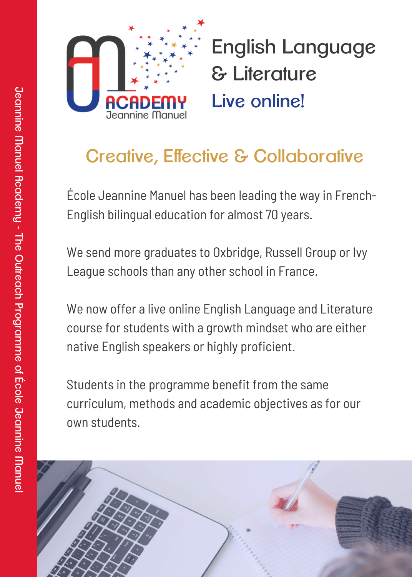

English Language & Literature Live online!

## Creative, Effective & Collaborative

École Jeannine Manuel has been leading the way in French-English bilingual education for almost 70 years.

We send more graduates to Oxbridge, Russell Group or Ivy League schools than any other school in France.

We now offer a live online English Language and Literature course for students with a growth mindset who are either native English speakers or highly proficient.

Students in the programme benefit from the same curriculum, methods and academic objectives as for our own students.

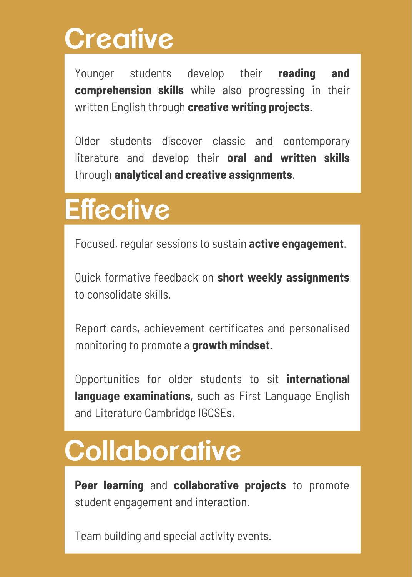# **Creative**

Younger students develop their **reading and comprehension skills** while also progressing in their written English through **creative writing projects**.

Older students discover classic and contemporary literature and develop their **oral and written skills** through **analytical and creative assignments**.

# **Effective**

Focused, regular sessions to sustain **active engagement**.

Quick formative feedback on **short weekly assignments** to consolidate skills.

Report cards, achievement certificates and personalised monitoring to promote a **growth mindset**.

Opportunities for older students to sit **international language examinations**, such as First Language English and Literature Cambridge IGCSEs.

# **Collaborative**

**Peer learning** and **collaborative projects** to promote student engagement and interaction.

Team building and special activity events.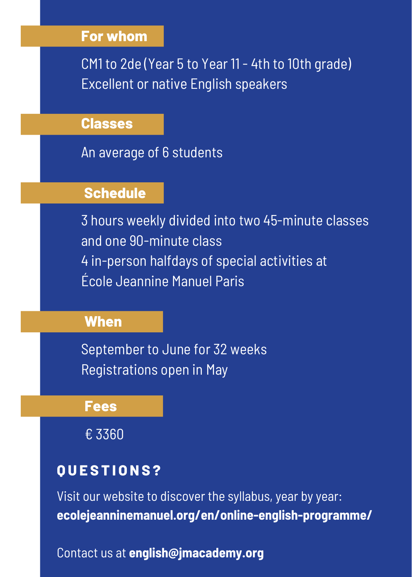#### **For whom**

CM1 to 2de (Year 5 to Year 11 - 4th to 10th grade) Excellent or native English speakers

#### **Classes**

An average of 6 students

#### **Schedule**

3 hours weekly divided into two 45-minute classes and one 90-minute class 4 in-person halfdays of special activities at École Jeannine Manuel Paris

#### **When**

September to June for 32 weeks Registrations open in May

**Fees**

€ 3360

### **Q U E S T I O N S ?**

Visit our website to discover the syllabus, year by year: **[ecolejeanninemanuel.org/en/online-english-programme/](https://ecolejeanninemanuel.org/en/online-english-programme/)**

Contact us at **english@jmacademy.org**